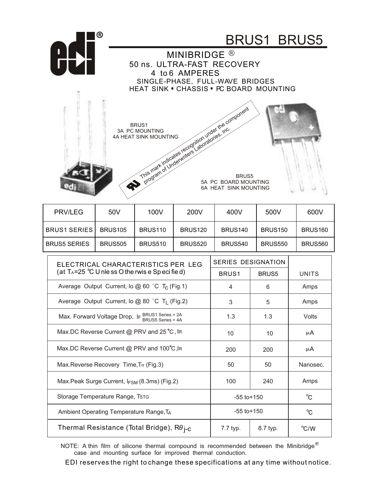

NOTE: A thin film of silicone thermal compound is recommended between the Minibridge<sup>®</sup> case and mounting surface for improved thermal conduction.

EDI reserves the right to change these specifications at any time without notice.